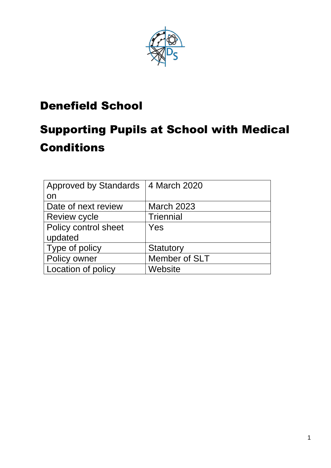

## Denefield School

# Supporting Pupils at School with Medical **Conditions**

| <b>Approved by Standards</b> | 4 March 2020      |
|------------------------------|-------------------|
| on                           |                   |
| Date of next review          | <b>March 2023</b> |
| <b>Review cycle</b>          | <b>Triennial</b>  |
| Policy control sheet         | Yes               |
| updated                      |                   |
| Type of policy               | Statutory         |
| Policy owner                 | Member of SLT     |
| Location of policy           | Website           |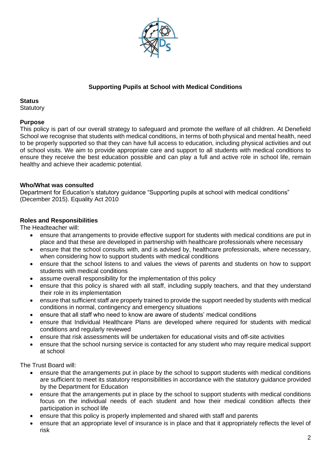

#### **Supporting Pupils at School with Medical Conditions**

#### **Status**

**Statutory** 

#### **Purpose**

This policy is part of our overall strategy to safeguard and promote the welfare of all children. At Denefield School we recognise that students with medical conditions, in terms of both physical and mental health, need to be properly supported so that they can have full access to education, including physical activities and out of school visits. We aim to provide appropriate care and support to all students with medical conditions to ensure they receive the best education possible and can play a full and active role in school life, remain healthy and achieve their academic potential.

#### **Who/What was consulted**

Department for Education's statutory guidance "Supporting pupils at school with medical conditions" (December 2015). Equality Act 2010

#### **Roles and Responsibilities**

The Headteacher will:

- ensure that arrangements to provide effective support for students with medical conditions are put in place and that these are developed in partnership with healthcare professionals where necessary
- ensure that the school consults with, and is advised by, healthcare professionals, where necessary, when considering how to support students with medical conditions
- ensure that the school listens to and values the views of parents and students on how to support students with medical conditions
- assume overall responsibility for the implementation of this policy
- ensure that this policy is shared with all staff, including supply teachers, and that they understand their role in its implementation
- ensure that sufficient staff are properly trained to provide the support needed by students with medical conditions in normal, contingency and emergency situations
- ensure that all staff who need to know are aware of students' medical conditions
- ensure that Individual Healthcare Plans are developed where required for students with medical conditions and regularly reviewed
- ensure that risk assessments will be undertaken for educational visits and off-site activities
- ensure that the school nursing service is contacted for any student who may require medical support at school

The Trust Board will:

- ensure that the arrangements put in place by the school to support students with medical conditions are sufficient to meet its statutory responsibilities in accordance with the statutory guidance provided by the Department for Education
- ensure that the arrangements put in place by the school to support students with medical conditions focus on the individual needs of each student and how their medical condition affects their participation in school life
- ensure that this policy is properly implemented and shared with staff and parents
- ensure that an appropriate level of insurance is in place and that it appropriately reflects the level of risk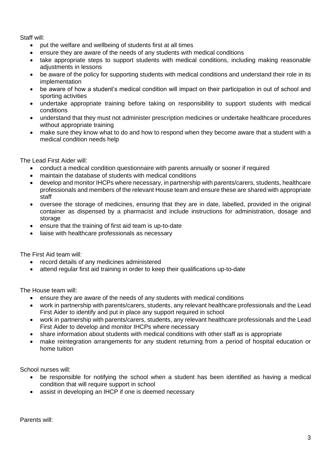Staff will:

- put the welfare and wellbeing of students first at all times
- ensure they are aware of the needs of any students with medical conditions
- take appropriate steps to support students with medical conditions, including making reasonable adjustments in lessons
- be aware of the policy for supporting students with medical conditions and understand their role in its implementation
- be aware of how a student's medical condition will impact on their participation in out of school and sporting activities
- undertake appropriate training before taking on responsibility to support students with medical conditions
- understand that they must not administer prescription medicines or undertake healthcare procedures without appropriate training
- make sure they know what to do and how to respond when they become aware that a student with a medical condition needs help

The Lead First Aider will:

- conduct a medical condition questionnaire with parents annually or sooner if required
- maintain the database of students with medical conditions
- develop and monitor IHCPs where necessary, in partnership with parents/carers, students, healthcare professionals and members of the relevant House team and ensure these are shared with appropriate staff
- oversee the storage of medicines, ensuring that they are in date, labelled, provided in the original container as dispensed by a pharmacist and include instructions for administration, dosage and storage
- ensure that the training of first aid team is up-to-date
- liaise with healthcare professionals as necessary

The First Aid team will:

- record details of any medicines administered
- attend regular first aid training in order to keep their qualifications up-to-date

The House team will:

- ensure they are aware of the needs of any students with medical conditions
- work in partnership with parents/carers, students, any relevant healthcare professionals and the Lead First Aider to identify and put in place any support required in school
- work in partnership with parents/carers, students, any relevant healthcare professionals and the Lead First Aider to develop and monitor IHCPs where necessary
- share information about students with medical conditions with other staff as is appropriate
- make reintegration arrangements for any student returning from a period of hospital education or home tuition

School nurses will:

- be responsible for notifying the school when a student has been identified as having a medical condition that will require support in school
- assist in developing an IHCP if one is deemed necessary

Parents will: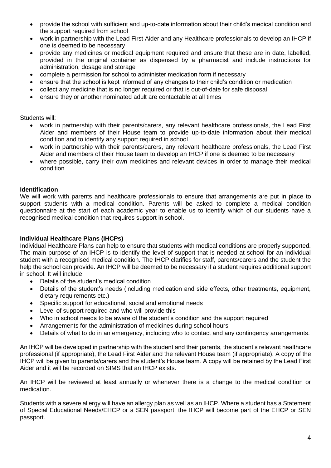- provide the school with sufficient and up-to-date information about their child's medical condition and the support required from school
- work in partnership with the Lead First Aider and any Healthcare professionals to develop an IHCP if one is deemed to be necessary
- provide any medicines or medical equipment required and ensure that these are in date, labelled, provided in the original container as dispensed by a pharmacist and include instructions for administration, dosage and storage
- complete a permission for school to administer medication form if necessary
- ensure that the school is kept informed of any changes to their child's condition or medication
- collect any medicine that is no longer required or that is out-of-date for safe disposal
- ensure they or another nominated adult are contactable at all times

Students will:

- work in partnership with their parents/carers, any relevant healthcare professionals, the Lead First Aider and members of their House team to provide up-to-date information about their medical condition and to identify any support required in school
- work in partnership with their parents/carers, any relevant healthcare professionals, the Lead First Aider and members of their House team to develop an IHCP if one is deemed to be necessary
- where possible, carry their own medicines and relevant devices in order to manage their medical condition

#### **Identification**

We will work with parents and healthcare professionals to ensure that arrangements are put in place to support students with a medical condition. Parents will be asked to complete a medical condition questionnaire at the start of each academic year to enable us to identify which of our students have a recognised medical condition that requires support in school.

#### **Individual Healthcare Plans (IHCPs)**

Individual Healthcare Plans can help to ensure that students with medical conditions are properly supported. The main purpose of an IHCP is to identify the level of support that is needed at school for an individual student with a recognised medical condition. The IHCP clarifies for staff, parents/carers and the student the help the school can provide. An IHCP will be deemed to be necessary if a student requires additional support in school. It will include:

- Details of the student's medical condition
- Details of the student's needs (including medication and side effects, other treatments, equipment, dietary requirements etc.)
- Specific support for educational, social and emotional needs
- Level of support required and who will provide this
- Who in school needs to be aware of the student's condition and the support required
- Arrangements for the administration of medicines during school hours
- Details of what to do in an emergency, including who to contact and any contingency arrangements.

An IHCP will be developed in partnership with the student and their parents, the student's relevant healthcare professional (if appropriate), the Lead First Aider and the relevant House team (if appropriate). A copy of the IHCP will be given to parents/carers and the student's House team. A copy will be retained by the Lead First Aider and it will be recorded on SIMS that an IHCP exists.

An IHCP will be reviewed at least annually or whenever there is a change to the medical condition or medication.

Students with a severe allergy will have an allergy plan as well as an IHCP. Where a student has a Statement of Special Educational Needs/EHCP or a SEN passport, the IHCP will become part of the EHCP or SEN passport.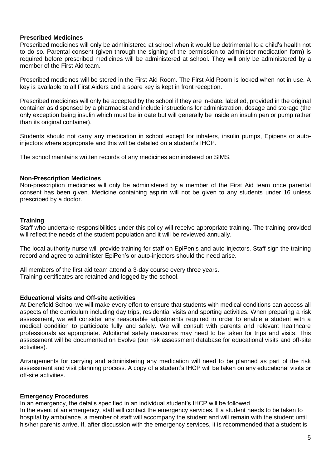#### **Prescribed Medicines**

Prescribed medicines will only be administered at school when it would be detrimental to a child's health not to do so. Parental consent (given through the signing of the permission to administer medication form) is required before prescribed medicines will be administered at school. They will only be administered by a member of the First Aid team.

Prescribed medicines will be stored in the First Aid Room. The First Aid Room is locked when not in use. A key is available to all First Aiders and a spare key is kept in front reception.

Prescribed medicines will only be accepted by the school if they are in-date, labelled, provided in the original container as dispensed by a pharmacist and include instructions for administration, dosage and storage (the only exception being insulin which must be in date but will generally be inside an insulin pen or pump rather than its original container).

Students should not carry any medication in school except for inhalers, insulin pumps, Epipens or autoinjectors where appropriate and this will be detailed on a student's IHCP.

The school maintains written records of any medicines administered on SIMS.

#### **Non-Prescription Medicines**

Non-prescription medicines will only be administered by a member of the First Aid team once parental consent has been given. Medicine containing aspirin will not be given to any students under 16 unless prescribed by a doctor.

#### **Training**

Staff who undertake responsibilities under this policy will receive appropriate training. The training provided will reflect the needs of the student population and it will be reviewed annually.

The local authority nurse will provide training for staff on EpiPen's and auto-injectors. Staff sign the training record and agree to administer EpiPen's or auto-injectors should the need arise.

All members of the first aid team attend a 3-day course every three years. Training certificates are retained and logged by the school.

#### **Educational visits and Off-site activities**

At Denefield School we will make every effort to ensure that students with medical conditions can access all aspects of the curriculum including day trips, residential visits and sporting activities. When preparing a risk assessment, we will consider any reasonable adjustments required in order to enable a student with a medical condition to participate fully and safely. We will consult with parents and relevant healthcare professionals as appropriate. Additional safety measures may need to be taken for trips and visits. This assessment will be documented on Evolve (our risk assessment database for educational visits and off-site activities).

Arrangements for carrying and administering any medication will need to be planned as part of the risk assessment and visit planning process. A copy of a student's IHCP will be taken on any educational visits or off-site activities.

#### **Emergency Procedures**

In an emergency, the details specified in an individual student's IHCP will be followed.

In the event of an emergency, staff will contact the emergency services. If a student needs to be taken to hospital by ambulance, a member of staff will accompany the student and will remain with the student until his/her parents arrive. If, after discussion with the emergency services, it is recommended that a student is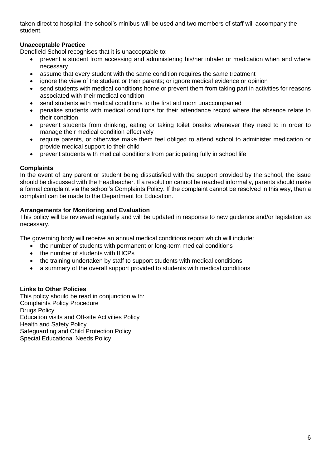taken direct to hospital, the school's minibus will be used and two members of staff will accompany the student.

#### **Unacceptable Practice**

Denefield School recognises that it is unacceptable to:

- prevent a student from accessing and administering his/her inhaler or medication when and where necessary
- assume that every student with the same condition requires the same treatment
- ignore the view of the student or their parents; or ignore medical evidence or opinion
- send students with medical conditions home or prevent them from taking part in activities for reasons associated with their medical condition
- send students with medical conditions to the first aid room unaccompanied
- penalise students with medical conditions for their attendance record where the absence relate to their condition
- prevent students from drinking, eating or taking toilet breaks whenever they need to in order to manage their medical condition effectively
- require parents, or otherwise make them feel obliged to attend school to administer medication or provide medical support to their child
- prevent students with medical conditions from participating fully in school life

#### **Complaints**

In the event of any parent or student being dissatisfied with the support provided by the school, the issue should be discussed with the Headteacher. If a resolution cannot be reached informally, parents should make a formal complaint via the school's Complaints Policy. If the complaint cannot be resolved in this way, then a complaint can be made to the Department for Education.

#### **Arrangements for Monitoring and Evaluation**

This policy will be reviewed regularly and will be updated in response to new guidance and/or legislation as necessary.

The governing body will receive an annual medical conditions report which will include:

- the number of students with permanent or long-term medical conditions
- the number of students with IHCPs
- the training undertaken by staff to support students with medical conditions
- a summary of the overall support provided to students with medical conditions

#### **Links to Other Policies**

This policy should be read in conjunction with: Complaints Policy Procedure Drugs Policy Education visits and Off-site Activities Policy Health and Safety Policy Safeguarding and Child Protection Policy Special Educational Needs Policy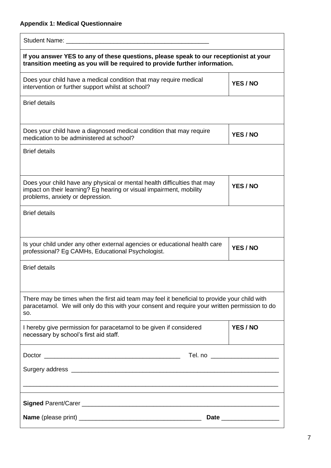### **Appendix 1: Medical Questionnaire**

| If you answer YES to any of these questions, please speak to our receptionist at your<br>transition meeting as you will be required to provide further information.                                  |          |
|------------------------------------------------------------------------------------------------------------------------------------------------------------------------------------------------------|----------|
| Does your child have a medical condition that may require medical<br>intervention or further support whilst at school?                                                                               | YES / NO |
| <b>Brief details</b>                                                                                                                                                                                 |          |
| Does your child have a diagnosed medical condition that may require<br>medication to be administered at school?                                                                                      | YES / NO |
| <b>Brief details</b>                                                                                                                                                                                 |          |
| Does your child have any physical or mental health difficulties that may<br>impact on their learning? Eg hearing or visual impairment, mobility<br>problems, anxiety or depression.                  | YES / NO |
| <b>Brief details</b>                                                                                                                                                                                 |          |
| Is your child under any other external agencies or educational health care<br>professional? Eg CAMHs, Educational Psychologist.                                                                      | YES / NO |
| <b>Brief details</b>                                                                                                                                                                                 |          |
| There may be times when the first aid team may feel it beneficial to provide your child with<br>paracetamol. We will only do this with your consent and require your written permission to do<br>SO. |          |
| I hereby give permission for paracetamol to be given if considered<br>necessary by school's first aid staff.                                                                                         | YES / NO |
|                                                                                                                                                                                                      |          |
|                                                                                                                                                                                                      |          |
|                                                                                                                                                                                                      |          |
|                                                                                                                                                                                                      |          |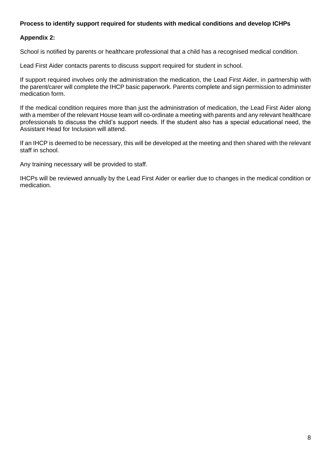#### **Process to identify support required for students with medical conditions and develop ICHPs**

#### **Appendix 2:**

School is notified by parents or healthcare professional that a child has a recognised medical condition.

Lead First Aider contacts parents to discuss support required for student in school.

If support required involves only the administration the medication, the Lead First Aider, in partnership with the parent/carer will complete the IHCP basic paperwork. Parents complete and sign permission to administer medication form.

If the medical condition requires more than just the administration of medication, the Lead First Aider along with a member of the relevant House team will co-ordinate a meeting with parents and any relevant healthcare professionals to discuss the child's support needs. If the student also has a special educational need, the Assistant Head for Inclusion will attend.

If an IHCP is deemed to be necessary, this will be developed at the meeting and then shared with the relevant staff in school.

Any training necessary will be provided to staff.

IHCPs will be reviewed annually by the Lead First Aider or earlier due to changes in the medical condition or medication.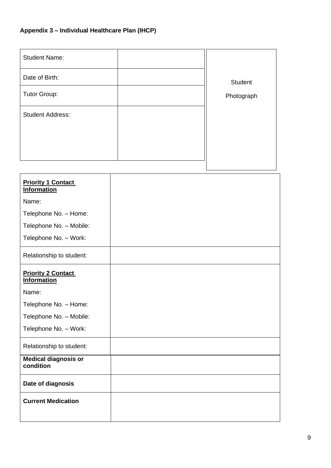## **Appendix 3 – Individual Healthcare Plan (IHCP)**

| <b>Student Name:</b>    |                |
|-------------------------|----------------|
| Date of Birth:          | <b>Student</b> |
| Tutor Group:            | Photograph     |
| <b>Student Address:</b> |                |
|                         |                |
|                         |                |
|                         |                |

| <b>Priority 1 Contact</b><br><b>Information</b> |  |
|-------------------------------------------------|--|
| Name:                                           |  |
| Telephone No. - Home:                           |  |
| Telephone No. - Mobile:                         |  |
| Telephone No. - Work:                           |  |
| Relationship to student:                        |  |
| <b>Priority 2 Contact</b><br><b>Information</b> |  |
| Name:                                           |  |
| Telephone No. - Home:                           |  |
| Telephone No. - Mobile:                         |  |
| Telephone No. - Work:                           |  |
| Relationship to student:                        |  |
| <b>Medical diagnosis or</b><br>condition        |  |
| Date of diagnosis                               |  |
| <b>Current Medication</b>                       |  |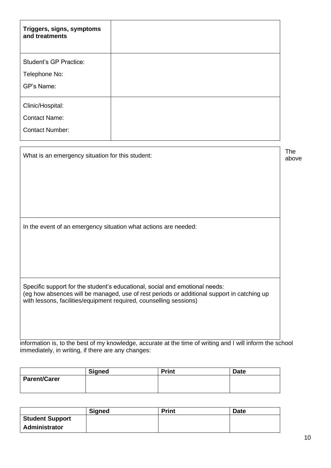| Triggers, signs, symptoms<br>and treatments                                                                                                                                                                                                     |  |       |
|-------------------------------------------------------------------------------------------------------------------------------------------------------------------------------------------------------------------------------------------------|--|-------|
| <b>Student's GP Practice:</b>                                                                                                                                                                                                                   |  |       |
| Telephone No:                                                                                                                                                                                                                                   |  |       |
| GP's Name:                                                                                                                                                                                                                                      |  |       |
| Clinic/Hospital:                                                                                                                                                                                                                                |  |       |
| <b>Contact Name:</b>                                                                                                                                                                                                                            |  |       |
| <b>Contact Number:</b>                                                                                                                                                                                                                          |  |       |
| What is an emergency situation for this student:                                                                                                                                                                                                |  | above |
| In the event of an emergency situation what actions are needed:                                                                                                                                                                                 |  |       |
| Specific support for the student's educational, social and emotional needs:<br>(eg how absences will be managed, use of rest periods or additional support in catching up<br>with lessons, facilities/equipment required, counselling sessions) |  |       |

information is, to the best of my knowledge, accurate at the time of writing and I will inform the school immediately, in writing, if there are any changes:

|                     | <b>Signed</b> | <b>Print</b> | <b>Date</b> |
|---------------------|---------------|--------------|-------------|
| <b>Parent/Carer</b> |               |              |             |

|                        | <b>Signed</b> | <b>Print</b> | <b>Date</b> |
|------------------------|---------------|--------------|-------------|
| <b>Student Support</b> |               |              |             |
| Administrator          |               |              |             |